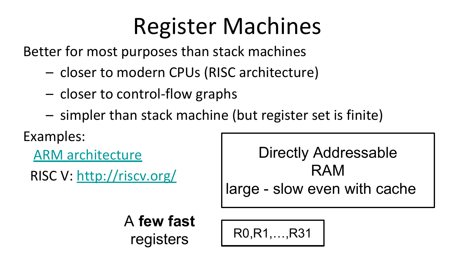# Register Machines

Better for most purposes than stack machines

- closer to modern CPUs (RISC architecture)
- closer to control-flow graphs
- simpler than stack machine (but register set is finite)

Examples:

[ARM architecture](http://en.wikipedia.org/wiki/ARM%20architecture)

RISC V:<http://riscv.org/>

Directly Addressable RAM large - slow even with cache

A **few fast** registers

R0,R1,…,R31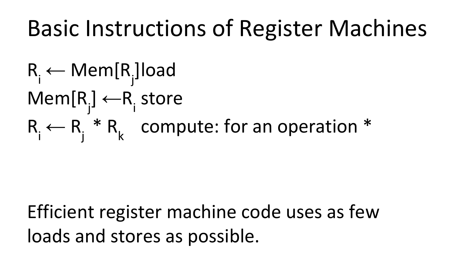### Basic Instructions of Register Machines

 $R_{i} \leftarrow \text{Mem}[R_{j}]$ load  $Mem[R_j] \leftarrow R_i$  store  $R_i \leftarrow R_i * R_k$  compute: for an operation  $*$ 

Efficient register machine code uses as few loads and stores as possible.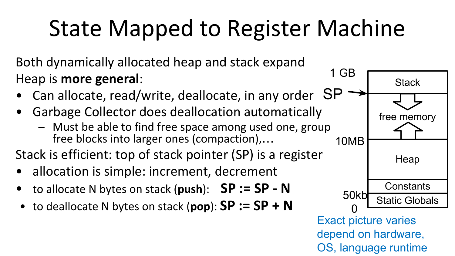# State Mapped to Register Machine

Both dynamically allocated heap and stack expand Heap is **more general**:

- Can allocate, read/write, deallocate, in any order
- Garbage Collector does deallocation automatically
	- Must be able to find free space among used one, group free blocks into larger ones (compaction),…

Stack is efficient: top of stack pointer (SP) is a register

- allocation is simple: increment, decrement
- to allocate N bytes on stack (**push**): **SP := SP N**
- to deallocate N bytes on stack (**pop**): **SP := SP + N**



Exact picture varies depend on hardware, OS, language runtime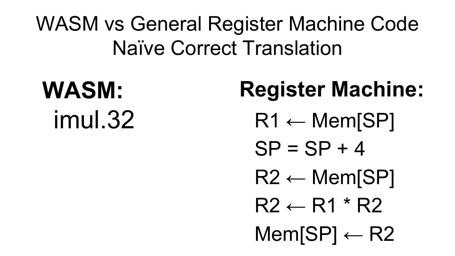WASM vs General Register Machine Code Naïve Correct Translation

# imul.32

 $R1 \leftarrow \text{Mem[SP]}$  $SP = SP + 4$  $R2 \leftarrow \text{Mem[SP]}$  $R2 \leftarrow R1 * R2$ **WASM: Register Machine:**

 $Mem[SP] \leftarrow R2$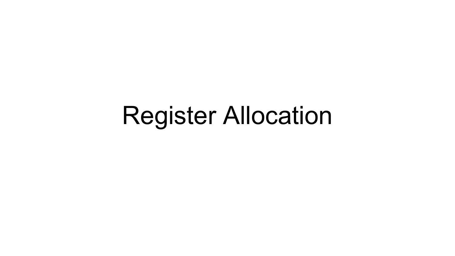### Register Allocation